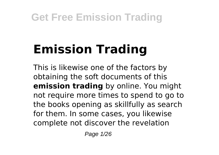# **Emission Trading**

This is likewise one of the factors by obtaining the soft documents of this **emission trading** by online. You might not require more times to spend to go to the books opening as skillfully as search for them. In some cases, you likewise complete not discover the revelation

Page 1/26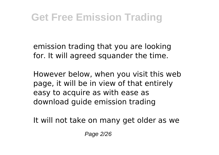emission trading that you are looking for. It will agreed squander the time.

However below, when you visit this web page, it will be in view of that entirely easy to acquire as with ease as download guide emission trading

It will not take on many get older as we

Page 2/26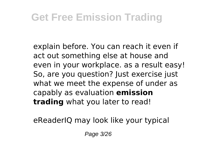explain before. You can reach it even if act out something else at house and even in your workplace. as a result easy! So, are you question? Just exercise just what we meet the expense of under as capably as evaluation **emission trading** what you later to read!

eReaderIQ may look like your typical

Page 3/26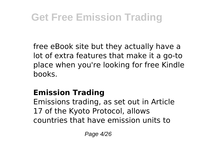free eBook site but they actually have a lot of extra features that make it a go-to place when you're looking for free Kindle books.

### **Emission Trading**

Emissions trading, as set out in Article 17 of the Kyoto Protocol, allows countries that have emission units to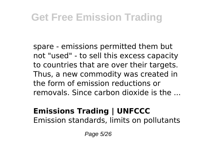spare - emissions permitted them but not "used" - to sell this excess capacity to countries that are over their targets. Thus, a new commodity was created in the form of emission reductions or removals. Since carbon dioxide is the ...

#### **Emissions Trading | UNFCCC** Emission standards, limits on pollutants

Page 5/26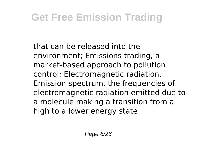that can be released into the environment; Emissions trading, a market-based approach to pollution control; Electromagnetic radiation. Emission spectrum, the frequencies of electromagnetic radiation emitted due to a molecule making a transition from a high to a lower energy state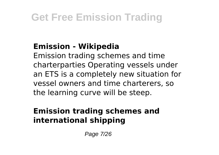### **Emission - Wikipedia**

Emission trading schemes and time charterparties Operating vessels under an ETS is a completely new situation for vessel owners and time charterers, so the learning curve will be steep.

### **Emission trading schemes and international shipping**

Page 7/26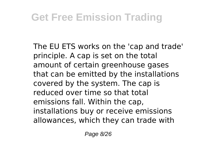The EU ETS works on the 'cap and trade' principle. A cap is set on the total amount of certain greenhouse gases that can be emitted by the installations covered by the system. The cap is reduced over time so that total emissions fall. Within the cap, installations buy or receive emissions allowances, which they can trade with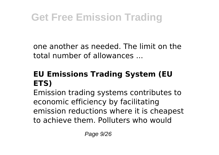one another as needed. The limit on the total number of allowances

### **EU Emissions Trading System (EU ETS)**

Emission trading systems contributes to economic efficiency by facilitating emission reductions where it is cheapest to achieve them. Polluters who would

Page 9/26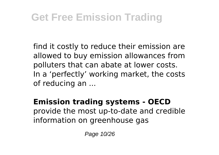find it costly to reduce their emission are allowed to buy emission allowances from polluters that can abate at lower costs. In a 'perfectly' working market, the costs of reducing an ...

**Emission trading systems - OECD** provide the most up-to-date and credible information on greenhouse gas

Page 10/26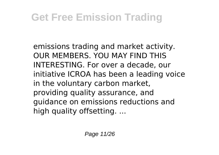emissions trading and market activity. OUR MEMBERS. YOU MAY FIND THIS INTERESTING. For over a decade, our initiative ICROA has been a leading voice in the voluntary carbon market, providing quality assurance, and guidance on emissions reductions and high quality offsetting. ...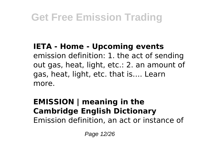**IETA - Home - Upcoming events** emission definition: 1. the act of sending out gas, heat, light, etc.: 2. an amount of gas, heat, light, etc. that is…. Learn more.

#### **EMISSION | meaning in the Cambridge English Dictionary** Emission definition, an act or instance of

Page 12/26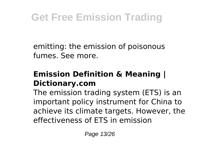emitting: the emission of poisonous fumes. See more.

#### **Emission Definition & Meaning | Dictionary.com**

The emission trading system (ETS) is an important policy instrument for China to achieve its climate targets. However, the effectiveness of ETS in emission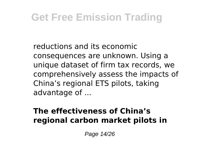reductions and its economic consequences are unknown. Using a unique dataset of firm tax records, we comprehensively assess the impacts of China's regional ETS pilots, taking advantage of ...

#### **The effectiveness of China's regional carbon market pilots in**

Page 14/26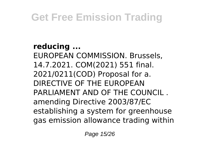**reducing ...** EUROPEAN COMMISSION. Brussels, 14.7.2021. COM(2021) 551 final. 2021/0211(COD) Proposal for a. DIRECTIVE OF THE EUROPEAN PARLIAMENT AND OF THE COUNCIL . amending Directive 2003/87/EC establishing a system for greenhouse gas emission allowance trading within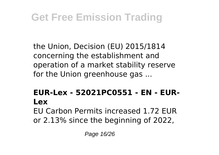the Union, Decision (EU) 2015/1814 concerning the establishment and operation of a market stability reserve for the Union greenhouse gas ...

### **EUR-Lex - 52021PC0551 - EN - EUR-Lex** EU Carbon Permits increased 1.72 EUR

or 2.13% since the beginning of 2022,

Page 16/26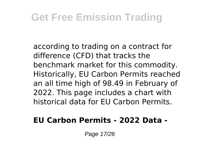according to trading on a contract for difference (CFD) that tracks the benchmark market for this commodity. Historically, EU Carbon Permits reached an all time high of 98.49 in February of 2022. This page includes a chart with historical data for EU Carbon Permits.

#### **EU Carbon Permits - 2022 Data -**

Page 17/26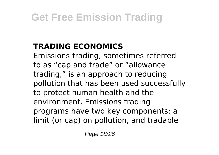### **TRADING ECONOMICS**

Emissions trading, sometimes referred to as "cap and trade" or "allowance trading," is an approach to reducing pollution that has been used successfully to protect human health and the environment. Emissions trading programs have two key components: a limit (or cap) on pollution, and tradable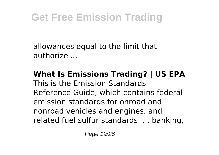allowances equal to the limit that authorize ...

**What Is Emissions Trading? | US EPA** This is the Emission Standards Reference Guide, which contains federal emission standards for onroad and nonroad vehicles and engines, and related fuel sulfur standards. ... banking,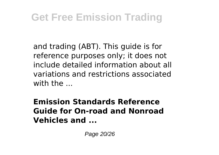and trading (ABT). This guide is for reference purposes only; it does not include detailed information about all variations and restrictions associated with the  $\overline{\phantom{a}}$ 

**Emission Standards Reference Guide for On-road and Nonroad Vehicles and ...**

Page 20/26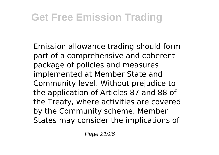Emission allowance trading should form part of a comprehensive and coherent package of policies and measures implemented at Member State and Community level. Without prejudice to the application of Articles 87 and 88 of the Treaty, where activities are covered by the Community scheme, Member States may consider the implications of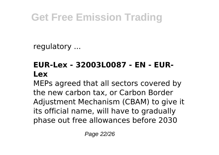regulatory ...

### **EUR-Lex - 32003L0087 - EN - EUR-Lex**

MEPs agreed that all sectors covered by the new carbon tax, or Carbon Border Adjustment Mechanism (CBAM) to give it its official name, will have to gradually phase out free allowances before 2030

Page 22/26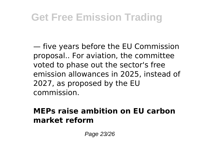— five years before the EU Commission proposal.. For aviation, the committee voted to phase out the sector's free emission allowances in 2025, instead of 2027, as proposed by the EU commission.

#### **MEPs raise ambition on EU carbon market reform**

Page 23/26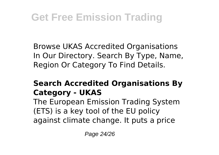Browse UKAS Accredited Organisations In Our Directory. Search By Type, Name, Region Or Category To Find Details.

### **Search Accredited Organisations By Category - UKAS**

The European Emission Trading System (ETS) is a key tool of the EU policy against climate change. It puts a price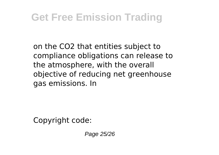on the CO2 that entities subject to compliance obligations can release to the atmosphere, with the overall objective of reducing net greenhouse gas emissions. In

Copyright code:

Page 25/26